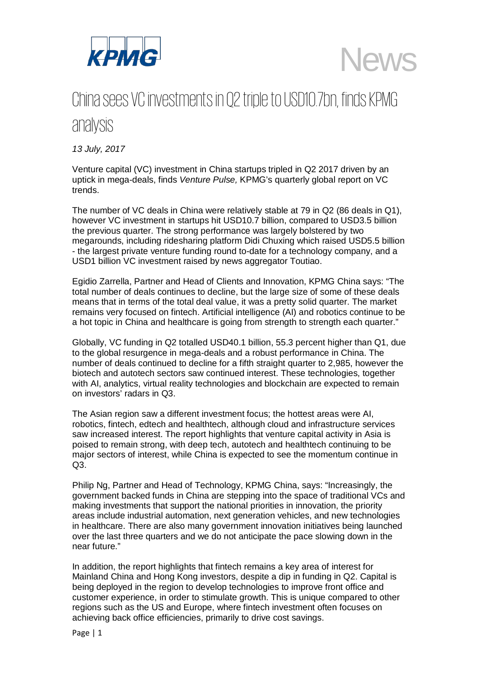

**News** 

## China sees VCinvestmentsin Q2 triple to USD10.7bn, finds KPMG analysis

*13 July, 2017*

Venture capital (VC) investment in China startups tripled in Q2 2017 driven by an uptick in mega-deals, finds *Venture Pulse,* KPMG's quarterly global report on VC trends.

The number of VC deals in China were relatively stable at 79 in Q2 (86 deals in Q1), however VC investment in startups hit USD10.7 billion, compared to USD3.5 billion the previous quarter. The strong performance was largely bolstered by two megarounds, including ridesharing platform Didi Chuxing which raised USD5.5 billion - the largest private venture funding round to-date for a technology company, and a USD1 billion VC investment raised by news aggregator Toutiao.

Egidio Zarrella, Partner and Head of Clients and Innovation, KPMG China says: "The total number of deals continues to decline, but the large size of some of these deals means that in terms of the total deal value, it was a pretty solid quarter. The market remains very focused on fintech. Artificial intelligence (AI) and robotics continue to be a hot topic in China and healthcare is going from strength to strength each quarter."

Globally, VC funding in Q2 totalled USD40.1 billion, 55.3 percent higher than Q1, due to the global resurgence in mega-deals and a robust performance in China. The number of deals continued to decline for a fifth straight quarter to 2,985, however the biotech and autotech sectors saw continued interest. These technologies, together with AI, analytics, virtual reality technologies and blockchain are expected to remain on investors' radars in Q3.

The Asian region saw a different investment focus; the hottest areas were AI, robotics, fintech, edtech and healthtech, although cloud and infrastructure services saw increased interest. The report highlights that venture capital activity in Asia is poised to remain strong, with deep tech, autotech and healthtech continuing to be major sectors of interest, while China is expected to see the momentum continue in  $Q3$ .

Philip Ng, Partner and Head of Technology, KPMG China, says: "Increasingly, the government backed funds in China are stepping into the space of traditional VCs and making investments that support the national priorities in innovation, the priority areas include industrial automation, next generation vehicles, and new technologies in healthcare. There are also many government innovation initiatives being launched over the last three quarters and we do not anticipate the pace slowing down in the near future."

In addition, the report highlights that fintech remains a key area of interest for Mainland China and Hong Kong investors, despite a dip in funding in Q2. Capital is being deployed in the region to develop technologies to improve front office and customer experience, in order to stimulate growth. This is unique compared to other regions such as the US and Europe, where fintech investment often focuses on achieving back office efficiencies, primarily to drive cost savings.